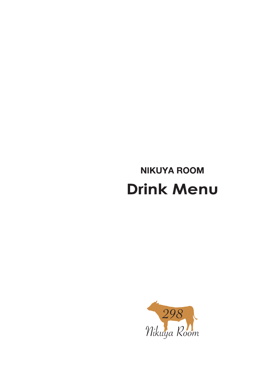# **NIKUYA ROOM Drink Menu**

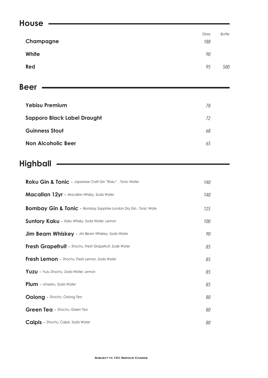## **House** *Glass Bottle*

|           | - - - - - - | ------ |
|-----------|-------------|--------|
| Champagne | 188         |        |
| White     | 90          |        |
| Red       | 95          | 500    |

## **Beer**

| <b>Yebisu Premium</b>              | 78 |
|------------------------------------|----|
| <b>Sapporo Black Label Draught</b> | 72 |
| <b>Guinness Stout</b>              | 68 |
| <b>Non Alcoholic Beer</b>          | 65 |

# **Highball**

| Roku Gin & Tonic - Japanese Craft Gin "Roku", Tonic Water                  | 140 |
|----------------------------------------------------------------------------|-----|
| <b>Macallan 12yr</b> - Macallan Whisky, Soda Water                         | 140 |
| <b>Bombay Gin &amp; Tonic</b> - Bombay Sapphire London Dry Gin, Tonic Wate | 125 |
| <b>Suntory Kaku - Kaku Whisky, Soda Water, Lemon</b>                       | 100 |
| <b>Jim Beam Whiskey</b> - Jim Beam Whiskey, Soda Water                     | 90  |
| Fresh Grapefruit - Shochu, Fresh Grapefruit, Sode Water                    | 85  |
| Fresh Lemon - Shochu, Fresh Lemon, Soda Water                              | 85  |
| Yuzu - Yuzu Shochu, Soda Water, Lemon                                      | 85  |
| <b>Plum</b> - Umeshu, Soda Water                                           | 85  |
| <b>Oolong</b> - Shochu, Oolong Tea                                         | 80  |
| Green Tea - Shochu, Green Tea                                              | 80  |
| Calpis - Shochu, Calpis, Soda Water                                        | 80  |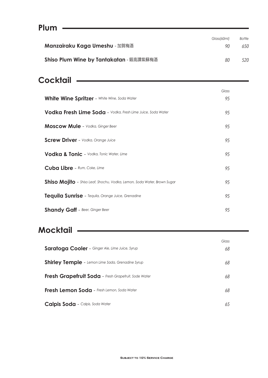| Plum                                    |             |               |
|-----------------------------------------|-------------|---------------|
|                                         | Glass/60ml) | <b>Bottle</b> |
| <b>Manzairaku Kaga Umeshu - 加賀梅酒</b>    | 90          | 650           |
| Shiso Plum Wine by Tantakatan - 鍛高譚紫蘇梅酒 | 80          | 520           |

# **Cocktail**

|                                                                          | Glass |
|--------------------------------------------------------------------------|-------|
| <b>White Wine Spritzer</b> - White Wine, Soda Water                      | 95    |
| <b>Vodka Fresh Lime Soda</b> - Vodka, Fresh Lime Juice, Soda Water       | 95    |
| <b>Moscow Mule</b> - Vodka, Ginger Beer                                  | 95    |
| <b>Screw Driver</b> - Vodka, Orange Juice                                | 95    |
| Vodka & Tonic - Vodka, Tonic Water, Lime                                 | 95    |
| Cuba Libre - Rum, Coke, Lime                                             | 95    |
| Shiso Mojito - Shiso Leaf, Shochu, Vodka, Lemon, Soda Water, Brown Sugar | 95    |
| Tequila Sunrise - Tequila, Orange Juice, Grenadine                       | 95    |
| <b>Shandy Gaff</b> - Beer, Ginger Beer                                   | 95    |

# **Mocktail**

|                                                          | Glass |
|----------------------------------------------------------|-------|
| <b>Saratoga Cooler</b> - Ginger Ale, Lime Juice, Syrup   | 68    |
| <b>Shirley Temple - Lemon Lime Sada, Grenadine Syrup</b> | 68    |
| Fresh Grapefruit Soda - Fresh Grapefruit, Sode Water     | 68    |
| Fresh Lemon Soda - Fresh Lemon, Soda Water               | 68    |
| <b>Calpis Soda - Calpis, Soda Water</b>                  | 65    |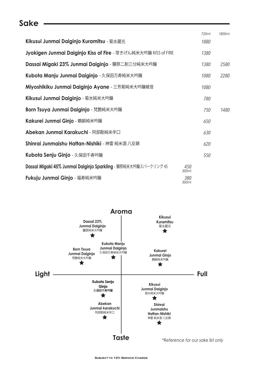#### **Sake**

|              | 720ml | 1800ml |
|--------------|-------|--------|
|              | 1880  |        |
|              | 1380  |        |
|              | 1380  | 2580   |
|              | 1080  | 2280   |
|              | 1080  |        |
|              | 780   |        |
|              | 750   | 1480   |
|              | 650   |        |
|              | 630   |        |
|              | 620   |        |
|              | 550   |        |
| 450<br>300ml |       |        |
| 380<br>300ml |       |        |
|              |       |        |

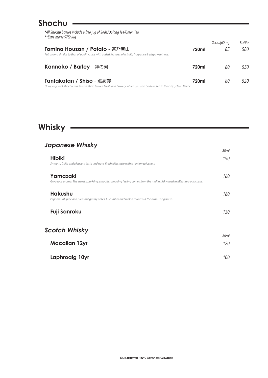## **Shochu**

| *All Shochu bottles include a free jug of Soda/Oolong Tea/Green Tea |
|---------------------------------------------------------------------|
| **Extra mixer \$75/Jug                                              |

|                                                                                                                                                    |       | Glass/60ml) | <b>Bottle</b> |
|----------------------------------------------------------------------------------------------------------------------------------------------------|-------|-------------|---------------|
| Tomino Houzan / Potato - 富乃宝山<br>Full aroma similar to that of quality sake with added features of a fruity fragrance & crisp sweetness.           | 720ml | 85          | 580           |
| <b>Kannoko / Barley - 神の河</b>                                                                                                                      | 720ml | 80          | 550           |
| Tantakatan / Shiso - 鍛高譚<br>Unique type of Shochu made with Shiso leaves. Fresh and flowery which can also be detected in the crisp, clean flavor. | 720ml | 80          | 520           |

# **Whisky**

#### *Japanese Whisky*

| - - -                                                                                                                             | 30ml        |
|-----------------------------------------------------------------------------------------------------------------------------------|-------------|
| <b>Hibiki</b><br>Smooth, fruity and pleasant taste and note. Fresh aftertaste with a hint on spicyness.                           | 190         |
| Yamazaki<br>Gorgeous aroma. The sweet, sparkling, smooth spreading feeling comes from the malt whisky aged in Mizanara oak casks. | 160         |
| <b>Hakushu</b><br>Peppermint, pine and pleasant grassy notes. Cucumber and melon round out the nose. Long finish.                 | 160         |
| Fuji Sanroku                                                                                                                      | 130         |
| Scotch Whisky                                                                                                                     |             |
| <b>Macallan 12yr</b>                                                                                                              | 30ml<br>120 |
| Laphroaig 10yr                                                                                                                    | 100         |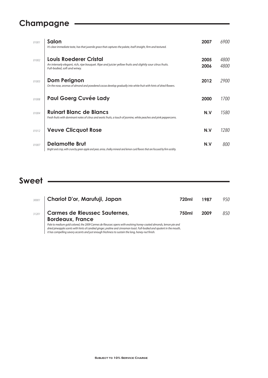# **Champagne**

| 01001 | Salon<br>It's clear immediate taste, has that juvenile grace that captures the palate, itself straight, firm and textured.                                                 | 2007         | 6900         |
|-------|----------------------------------------------------------------------------------------------------------------------------------------------------------------------------|--------------|--------------|
| 01002 | <b>Louis Roederer Cristal</b><br>An intensely elegant, rich, ripe bouquet. Ripe and juicier yellow fruits and slightly sour citrus fruits.<br>Full-bodied, soft and winey. | 2005<br>2006 | 4800<br>4800 |
| 01003 | Dom Perignon<br>On the nose, aromas of almond and powdered cocoa develop gradually into white fruit with hints of dried flowers.                                           | 2012         | 2900         |
| 01008 | <b>Paul Goerg Cuvée Lady</b>                                                                                                                                               | 2000         | 1700         |
| 01004 | <b>Ruinart Blanc de Blancs</b><br>Fresh fruits with dominant notes of citrus and exotic fruits, a touch of jasmine, white peaches and pink peppercorns.                    | N.V          | 1580         |
| 01012 | <b>Veuve Clicquot Rose</b>                                                                                                                                                 | N.V          | 1280         |
| 01007 | Delamotte Brut<br>Bright and crisp, with crunchy green apple and pear, anise, chalky mineral and lemon curd flavors that are focused by firm acidity.                      | N.V          | 800          |

### **Sweet**

| 30001 | Chariot D'or, Marufuji, Japan                                                                                                                                                                                                              | 720ml | 1987 | 950 |
|-------|--------------------------------------------------------------------------------------------------------------------------------------------------------------------------------------------------------------------------------------------|-------|------|-----|
| 31201 | Carmes de Rieussec Sauternes,<br><b>Bordeaux, France</b>                                                                                                                                                                                   | 750ml | 2009 | 850 |
|       | Pale to medium gold colored, the 2009 Carmes de Rieussec opens with evolving honey-coated almonds, lemon pie and<br>dried pineapple scents with hints of candied ginger, praline and cinnamon toast. Full-bodied and opulent in the mouth, |       |      |     |

*it has compelling savory accents and just enough freshness to sustain the long, honey-nut nish.*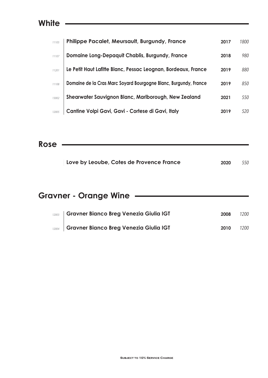#### **White**

| 11105 | <b>Philippe Pacalet, Meursault, Burgundy, France</b>             | 2017 | 1800 |
|-------|------------------------------------------------------------------|------|------|
| 11107 | Domaine Long-Depaquit Chablis, Burgundy, France                  | 2018 | 980  |
| 11201 | Le Petit Haut Lafitte Blanc, Pessac Leognan, Bordeaux, France    | 2019 | 880  |
| 11108 | Domaine de la Cras Marc Soyard Bourgogne Blanc, Burgundy, France | 2019 | 850  |
| 13002 | Shearwater Sauvignon Blanc, Marlborough, New Zealand             | 2021 | 550  |
| 12005 | Cantine Volpi Gavi, Gavi - Cortese di Gavi, Italy                | 2019 | 520. |

**Rose**

| Love by Leoube, Cotes de Provence France | 2020 | 550 |
|------------------------------------------|------|-----|
|                                          |      |     |

# **Gravner - Orange Wine**

| 12003 Gravner Bianco Breg Venezia Giulia IGT | 2008 | 1200 |
|----------------------------------------------|------|------|
| 12004 Gravner Bianco Breg Venezia Giulia IGT | 2010 | 1200 |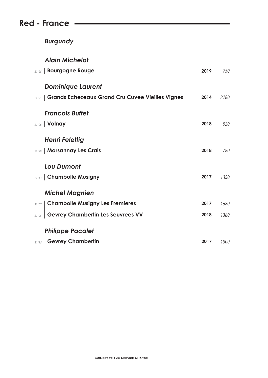## **Red - France**

*Burgundy*

#### *Alain Michelot*

| <b>Bourgogne Rouge</b><br>21125                                  | 2019 | 750  |
|------------------------------------------------------------------|------|------|
| <b>Dominique Laurent</b>                                         |      |      |
| <b>Grands Echezeaux Grand Cru Cuvee Vieilles Vignes</b><br>21121 | 2014 | 3280 |
| <b>Francois Buffet</b>                                           |      |      |
| Volnay<br>21126                                                  | 2018 | 920  |
| <b>Henri Felettig</b>                                            |      |      |
| <b>Marsannay Les Crais</b><br>21120                              | 2018 | 780  |
| <b>Lou Dumont</b>                                                |      |      |
| <b>Chambolle Musigny</b><br>21113                                | 2017 | 1350 |
| <b>Michel Magnien</b>                                            |      |      |
| <b>Chambolle Musigny Les Fremieres</b><br>21107                  | 2017 | 1680 |
| <b>Gevrey Chambertin Les Seuvrees VV</b><br>21105                | 2018 | 1380 |
| <b>Philippe Pacalet</b>                                          |      |      |
| 21115   Gevrey Chambertin                                        | 2017 | 1800 |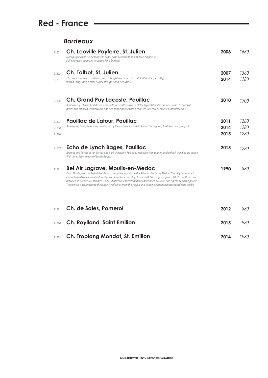## **Red - France**

#### *Bordeaux*

| 21201                   | Ch. Leoville Poyferre, St. Julien<br>Dark purple color. Ripe cherry and cedar nose. Dark fruits and mineral on palate.<br>Full body with balanced structure, long finished.                                                                                                                                                                                                                                                                                                                                                       | 2008                 | 1680                 |
|-------------------------|-----------------------------------------------------------------------------------------------------------------------------------------------------------------------------------------------------------------------------------------------------------------------------------------------------------------------------------------------------------------------------------------------------------------------------------------------------------------------------------------------------------------------------------|----------------------|----------------------|
| 21202<br>21205          | Ch. Talbot, St. Julien<br>This super focused and firm, with a bright and intense fruit, Full and super silky,<br>with a long, long finish. Super straight and beautiful.                                                                                                                                                                                                                                                                                                                                                          | 2007<br>2014         | 1380<br>1280         |
| 21206                   | <b>Ch. Grand Puy Lacoste, Pauillac</b><br>A fabulously intense, fruit driven nose, with wave after wave of all the typical Pauillac nuances, leads to notes of<br>pencil and tobacco. It is powerful and rich on the palate with a cool, sensual core of precise blackberry fruit.                                                                                                                                                                                                                                                | 2010                 | 1700                 |
| 21207<br>21208<br>21216 | Pauillac de Latour, Pauillac<br>An elegant, fresh, lively wine dominated by Merlot blended with Cabernet Sauvignon, it exhibits deep, elegant.                                                                                                                                                                                                                                                                                                                                                                                    | 2011<br>2014<br>2015 | 1280<br>1280<br>1280 |
| 21209                   | Echo de Lynch Bages, Pauillac<br>Aromas and flavors of tar, berries and dark chocolate. Full body, relatively firm tannins and a finish that fills the palate.<br>Well done. Second wine of Lynch-Bages.                                                                                                                                                                                                                                                                                                                          | 2015                 | 1280                 |
| 21211                   | <b>Bel Air Lagrave, Moulis-en-Medoc</b><br>From Moulis, the smallest of the Medoc communes located on the Atlantic side of the Medoc. This hilly landscape is<br>characterized by a diversity of soils' gravel, limestone and clay. Chateau Bel Air Lagrave spends 18-20 months in oak,<br>between 35% and 50% of which is new. It offers a seductive and well developed bouguet and harmony on the palate.<br>This wine is a testament to the longevity of wines from this region and to how delicious a mature Bordeaux can be. | 1990                 | 880                  |
| 21221                   | Ch. de Sales, Pomerol                                                                                                                                                                                                                                                                                                                                                                                                                                                                                                             | 2012                 | 880                  |
| 21220                   | <b>Ch. Roylland, Saint Emilion</b>                                                                                                                                                                                                                                                                                                                                                                                                                                                                                                | 2015                 | 980                  |

*1980 <sup>21222</sup>* **Ch. Troplong Mondot, St. Emilion 2014**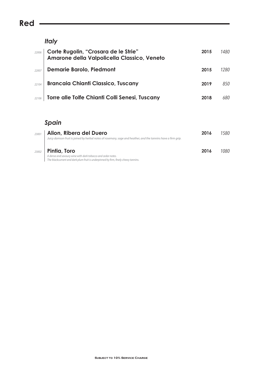## **Red**

#### *Italy*

|       | 22006 Corte Rugolin, "Crosara de le Strie"<br>Amarone della Valpolicella Classico, Veneto | 2015 | 1480 |
|-------|-------------------------------------------------------------------------------------------|------|------|
| 22007 | <b>Demarie Barolo, Piedmont</b>                                                           | 2015 | 1280 |
| 22104 | <b>Brancaia Chianti Classico, Tuscany</b>                                                 | 2019 | 850  |
| 22106 | Torre alle Tolfe Chianti Colli Senesi, Tuscany                                            | 2018 | 680  |

#### *Spain*

| 23001 | Alion, Ribera del Duero<br>Juicy damson fruit is joined by herbal notes of rosemary, sage and heather, and the tannins have a firm grip.                          | 2016 | 1580. |
|-------|-------------------------------------------------------------------------------------------------------------------------------------------------------------------|------|-------|
| 23002 | Pintia, Toro<br>A dense and savoury wine with dark tobacco and cedar notes.<br>The blackcurrant and dark plum fruit is underpinned by firm, finely chewy tannins. | 2016 | 1080  |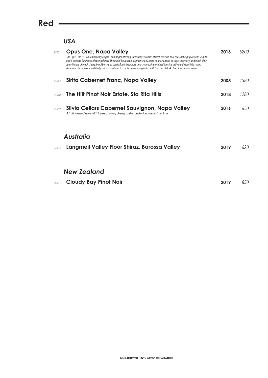#### **Red**

#### *USA*

| 25001 | <b>Opus One, Napa Valley</b><br>The Opus One 2016 is remarkably elegant and bright offering sumptuous aromas of fresh red and blue fruit, baking spices and vanilla,<br>and a delicate fragrance of spring florals. The initial bouguet is augmented by more nuanced notes of sage, rosemary, and black olive.<br>Juicy flavors of black cherry, blackberry and cassis flood the palate and creamy, fine-grained tannins deliver a delightfully round<br>structure. Harmonious and lively, the flavors linger to create an enduring finish with touches of dark chocolate and espresso. | 2016 | 5200 |
|-------|-----------------------------------------------------------------------------------------------------------------------------------------------------------------------------------------------------------------------------------------------------------------------------------------------------------------------------------------------------------------------------------------------------------------------------------------------------------------------------------------------------------------------------------------------------------------------------------------|------|------|
| 25013 | Sirita Cabernet Franc, Napa Valley                                                                                                                                                                                                                                                                                                                                                                                                                                                                                                                                                      | 2005 | 1580 |
| 25010 | The Hilt Pinot Noir Estate, Sta Rita Hills                                                                                                                                                                                                                                                                                                                                                                                                                                                                                                                                              | 2018 | 1280 |
| 25009 | Silvia Cellars Cabernet Sauvignon, Napa Valley<br>A fruit forward wine with layers of plum, cherry, and a touch of leathery chocolate.                                                                                                                                                                                                                                                                                                                                                                                                                                                  | 2016 | 650  |

#### *Australia*

| 27004   Langmeil Valley Floor Shiraz, Barossa Valley | <b>2019</b> 620 |  |
|------------------------------------------------------|-----------------|--|
|                                                      |                 |  |

#### *New Zealand*

| 28001 Cloudy Bay Pinot Noir | 2019 850 |  |
|-----------------------------|----------|--|
|                             |          |  |